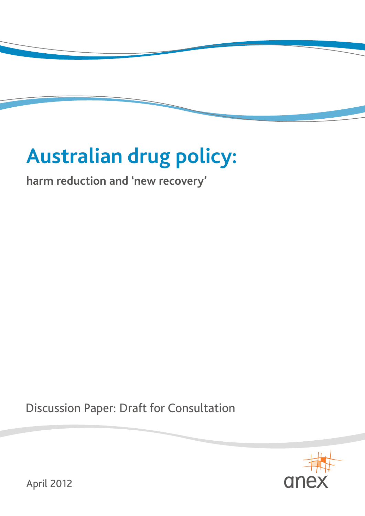# **Australian drug policy:**

**harm reduction and 'new recovery'**

Discussion Paper: Draft for Consultation



April 2012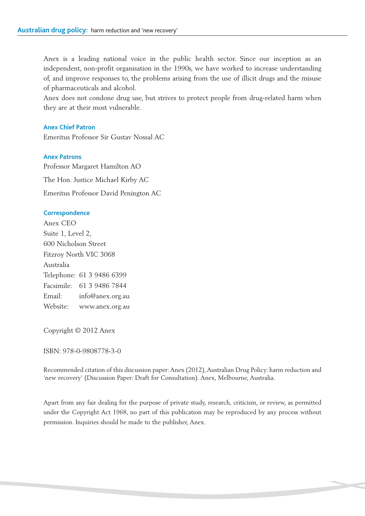Anex is a leading national voice in the public health sector. Since our inception as an independent, non-profit organisation in the 1990s, we have worked to increase understanding of, and improve responses to, the problems arising from the use of illicit drugs and the misuse of pharmaceuticals and alcohol.

Anex does not condone drug use, but strives to protect people from drug-related harm when they are at their most vulnerable.

#### **Anex Chief Patron**

Emeritus Professor Sir Gustav Nossal AC

#### **Anex Patrons**

Professor Margaret Hamilton AO The Hon. Justice Michael Kirby AC Emeritus Professor David Penington AC

#### **Correspondence**

Anex CEO Suite 1, Level 2, 600 Nicholson Street Fitzroy North VIC 3068 Australia Telephone: 61 3 9486 6399 Facsimile: 61 3 9486 7844 Email: info@anex.org.au Website: www.anex.org.au

Copyright © 2012 Anex

ISBN: 978-0-9808778-3-0

Recommended citation of this discussion paper: Anex (2012), Australian Drug Policy: harm reduction and 'new recovery' (Discussion Paper: Draft for Consultation). Anex, Melbourne, Australia.

Apart from any fair dealing for the purpose of private study, research, criticism, or review, as permitted under the Copyright Act 1968, no part of this publication may be reproduced by any process without permission. Inquiries should be made to the publisher, Anex.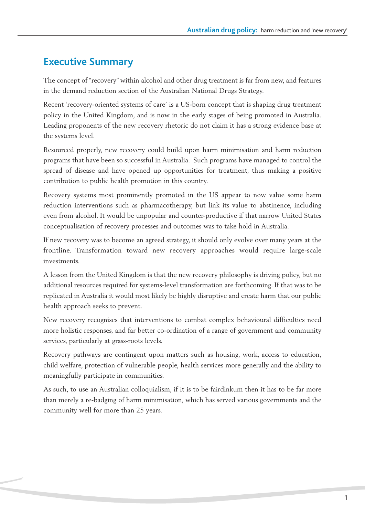# **Executive Summary**

The concept of "recovery" within alcohol and other drug treatment is far from new, and features in the demand reduction section of the Australian National Drugs Strategy.

Recent 'recovery-oriented systems of care' is a US-born concept that is shaping drug treatment policy in the United Kingdom, and is now in the early stages of being promoted in Australia. Leading proponents of the new recovery rhetoric do not claim it has a strong evidence base at the systems level.

Resourced properly, new recovery could build upon harm minimisation and harm reduction programs that have been so successful in Australia. Such programs have managed to control the spread of disease and have opened up opportunities for treatment, thus making a positive contribution to public health promotion in this country.

Recovery systems most prominently promoted in the US appear to now value some harm reduction interventions such as pharmacotherapy, but link its value to abstinence, including even from alcohol. It would be unpopular and counter-productive if that narrow United States conceptualisation of recovery processes and outcomes was to take hold in Australia.

If new recovery was to become an agreed strategy, it should only evolve over many years at the frontline. Transformation toward new recovery approaches would require large-scale investments.

A lesson from the United Kingdom is that the new recovery philosophy is driving policy, but no additional resources required for systems-level transformation are forthcoming. If that was to be replicated in Australia it would most likely be highly disruptive and create harm that our public health approach seeks to prevent.

New recovery recognises that interventions to combat complex behavioural difficulties need more holistic responses, and far better co-ordination of a range of government and community services, particularly at grass-roots levels.

Recovery pathways are contingent upon matters such as housing, work, access to education, child welfare, protection of vulnerable people, health services more generally and the ability to meaningfully participate in communities.

As such, to use an Australian colloquialism, if it is to be fairdinkum then it has to be far more than merely a re-badging of harm minimisation, which has served various governments and the community well for more than 25 years.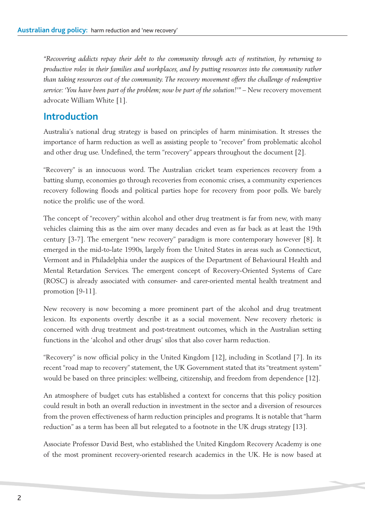*"Recovering addicts repay their debt to the community through acts of restitution, by returning to productive roles in their families and workplaces, and by putting resources into the community rather than taking resources out of the community. The recovery movement offers the challenge of redemptive service: 'You have been part of the problem; now be part of the solution!'" –* New recovery movement advocate William White [1].

## **Introduction**

Australia's national drug strategy is based on principles of harm minimisation. It stresses the importance of harm reduction as well as assisting people to "recover" from problematic alcohol and other drug use. Undefined, the term "recovery" appears throughout the document [2].

"Recovery" is an innocuous word. The Australian cricket team experiences recovery from a batting slump, economies go through recoveries from economic crises, a community experiences recovery following floods and political parties hope for recovery from poor polls. We barely notice the prolific use of the word.

The concept of "recovery" within alcohol and other drug treatment is far from new, with many vehicles claiming this as the aim over many decades and even as far back as at least the 19th century [3-7]. The emergent "new recovery" paradigm is more contemporary however [8]. It emerged in the mid-to-late 1990s, largely from the United States in areas such as Connecticut, Vermont and in Philadelphia under the auspices of the Department of Behavioural Health and Mental Retardation Services. The emergent concept of Recovery-Oriented Systems of Care (ROSC) is already associated with consumer- and carer-oriented mental health treatment and promotion [9-11].

New recovery is now becoming a more prominent part of the alcohol and drug treatment lexicon. Its exponents overtly describe it as a social movement. New recovery rhetoric is concerned with drug treatment and post-treatment outcomes, which in the Australian setting functions in the 'alcohol and other drugs' silos that also cover harm reduction.

"Recovery" is now official policy in the United Kingdom [12], including in Scotland [7]. In its recent "road map to recovery" statement, the UK Government stated that its "treatment system" would be based on three principles: wellbeing, citizenship, and freedom from dependence [12].

An atmosphere of budget cuts has established a context for concerns that this policy position could result in both an overall reduction in investment in the sector and a diversion of resources from the proven effectiveness of harm reduction principles and programs. It is notable that "harm reduction" as a term has been all but relegated to a footnote in the UK drugs strategy [13].

Associate Professor David Best, who established the United Kingdom Recovery Academy is one of the most prominent recovery-oriented research academics in the UK. He is now based at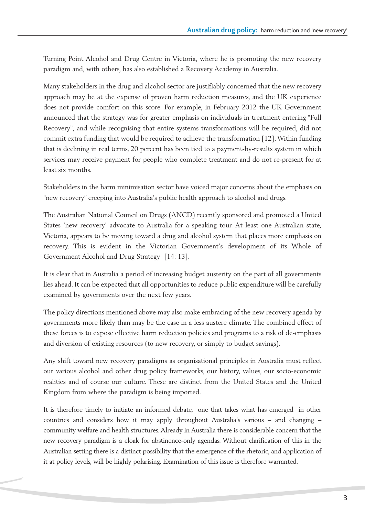Turning Point Alcohol and Drug Centre in Victoria, where he is promoting the new recovery paradigm and, with others, has also established a Recovery Academy in Australia.

Many stakeholders in the drug and alcohol sector are justifiably concerned that the new recovery approach may be at the expense of proven harm reduction measures, and the UK experience does not provide comfort on this score. For example, in February 2012 the UK Government announced that the strategy was for greater emphasis on individuals in treatment entering "Full Recovery", and while recognising that entire systems transformations will be required, did not commit extra funding that would be required to achieve the transformation [12].Within funding that is declining in real terms, 20 percent has been tied to a payment-by-results system in which services may receive payment for people who complete treatment and do not re-present for at least six months.

Stakeholders in the harm minimisation sector have voiced major concerns about the emphasis on "new recovery" creeping into Australia's public health approach to alcohol and drugs.

The Australian National Council on Drugs (ANCD) recently sponsored and promoted a United States 'new recovery' advocate to Australia for a speaking tour. At least one Australian state, Victoria, appears to be moving toward a drug and alcohol system that places more emphasis on recovery. This is evident in the Victorian Government's development of its Whole of Government Alcohol and Drug Strategy [14: 13].

It is clear that in Australia a period of increasing budget austerity on the part of all governments lies ahead. It can be expected that all opportunities to reduce public expenditure will be carefully examined by governments over the next few years.

The policy directions mentioned above may also make embracing of the new recovery agenda by governments more likely than may be the case in a less austere climate. The combined effect of these forces is to expose effective harm reduction policies and programs to a risk of de-emphasis and diversion of existing resources (to new recovery, or simply to budget savings).

Any shift toward new recovery paradigms as organisational principles in Australia must reflect our various alcohol and other drug policy frameworks, our history, values, our socio-economic realities and of course our culture. These are distinct from the United States and the United Kingdom from where the paradigm is being imported.

It is therefore timely to initiate an informed debate, one that takes what has emerged in other countries and considers how it may apply throughout Australia's various – and changing – community welfare and health structures.Already in Australia there is considerable concern that the new recovery paradigm is a cloak for abstinence-only agendas. Without clarification of this in the Australian setting there is a distinct possibility that the emergence of the rhetoric, and application of it at policy levels, will be highly polarising. Examination of this issue is therefore warranted.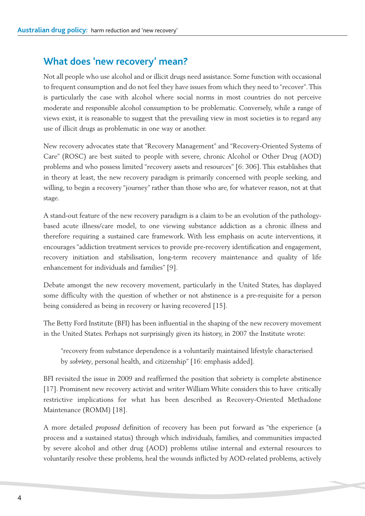### **What does 'new recovery' mean?**

Not all people who use alcohol and or illicit drugs need assistance. Some function with occasional to frequent consumption and do not feel they have issues from which they need to "recover".This is particularly the case with alcohol where social norms in most countries do not perceive moderate and responsible alcohol consumption to be problematic. Conversely, while a range of views exist, it is reasonable to suggest that the prevailing view in most societies is to regard any use of illicit drugs as problematic in one way or another.

New recovery advocates state that "Recovery Management" and "Recovery-Oriented Systems of Care" (ROSC) are best suited to people with severe, chronic Alcohol or Other Drug (AOD) problems and who possess limited "recovery assets and resources" [6: 306]. This establishes that in theory at least, the new recovery paradigm is primarily concerned with people seeking, and willing, to begin a recovery "journey" rather than those who are, for whatever reason, not at that stage.

A stand-out feature of the new recovery paradigm is a claim to be an evolution of the pathologybased acute illness/care model, to one viewing substance addiction as a chronic illness and therefore requiring a sustained care framework. With less emphasis on acute interventions, it encourages "addiction treatment services to provide pre-recovery identification and engagement, recovery initiation and stabilisation, long-term recovery maintenance and quality of life enhancement for individuals and families" [9].

Debate amongst the new recovery movement, particularly in the United States, has displayed some difficulty with the question of whether or not abstinence is a pre-requisite for a person being considered as being in recovery or having recovered [15].

The Betty Ford Institute (BFI) has been influential in the shaping of the new recovery movement in the United States. Perhaps not surprisingly given its history, in 2007 the Institute wrote:

"recovery from substance dependence is a voluntarily maintained lifestyle characterised by *sobriety*, personal health, and citizenship" [16: emphasis added].

BFI revisited the issue in 2009 and reaffirmed the position that sobriety is complete abstinence [17]. Prominent new recovery activist and writer William White considers this to have critically restrictive implications for what has been described as Recovery-Oriented Methadone Maintenance (ROMM) [18].

A more detailed *proposed* definition of recovery has been put forward as "the experience (a process and a sustained status) through which individuals, families, and communities impacted by severe alcohol and other drug (AOD) problems utilise internal and external resources to voluntarily resolve these problems, heal the wounds inflicted by AOD-related problems, actively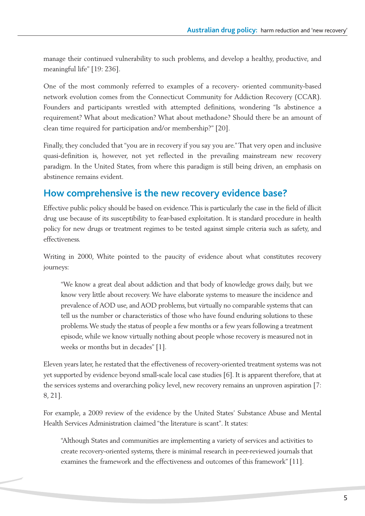manage their continued vulnerability to such problems, and develop a healthy, productive, and meaningful life" [19: 236].

One of the most commonly referred to examples of a recovery- oriented community-based network evolution comes from the Connecticut Community for Addiction Recovery (CCAR). Founders and participants wrestled with attempted definitions, wondering "Is abstinence a requirement? What about medication? What about methadone? Should there be an amount of clean time required for participation and/or membership?" [20].

Finally, they concluded that "you are in recovery if you say you are."That very open and inclusive quasi-definition is, however, not yet reflected in the prevailing mainstream new recovery paradigm. In the United States, from where this paradigm is still being driven, an emphasis on abstinence remains evident.

## **How comprehensive is the new recovery evidence base?**

Effective public policy should be based on evidence.This is particularly the case in the field of illicit drug use because of its susceptibility to fear-based exploitation. It is standard procedure in health policy for new drugs or treatment regimes to be tested against simple criteria such as safety, and effectiveness.

Writing in 2000, White pointed to the paucity of evidence about what constitutes recovery journeys:

"We know a great deal about addiction and that body of knowledge grows daily, but we know very little about recovery.We have elaborate systems to measure the incidence and prevalence of AOD use, and AOD problems, but virtually no comparable systems that can tell us the number or characteristics of those who have found enduring solutions to these problems.We study the status of people a few months or a few years following a treatment episode, while we know virtually nothing about people whose recovery is measured not in weeks or months but in decades" [1].

Eleven years later, he restated that the effectiveness of recovery-oriented treatment systems was not yet supported by evidence beyond small-scale local case studies [6]. It is apparent therefore, that at the services systems and overarching policy level, new recovery remains an unproven aspiration [7: 8, 21].

For example, a 2009 review of the evidence by the United States' Substance Abuse and Mental Health Services Administration claimed "the literature is scant". It states:

"Although States and communities are implementing a variety of services and activities to create recovery-oriented systems, there is minimal research in peer-reviewed journals that examines the framework and the effectiveness and outcomes of this framework" [11].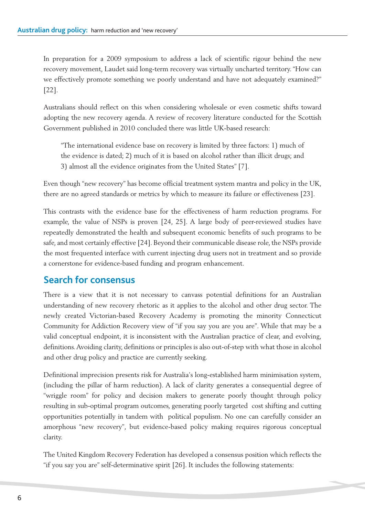In preparation for a 2009 symposium to address a lack of scientific rigour behind the new recovery movement, Laudet said long-term recovery was virtually uncharted territory."How can we effectively promote something we poorly understand and have not adequately examined?" [22].

Australians should reflect on this when considering wholesale or even cosmetic shifts toward adopting the new recovery agenda. A review of recovery literature conducted for the Scottish Government published in 2010 concluded there was little UK-based research:

"The international evidence base on recovery is limited by three factors: 1) much of the evidence is dated; 2) much of it is based on alcohol rather than illicit drugs; and 3) almost all the evidence originates from the United States" [7].

Even though "new recovery" has become official treatment system mantra and policy in the UK, there are no agreed standards or metrics by which to measure its failure or effectiveness [23].

This contrasts with the evidence base for the effectiveness of harm reduction programs. For example, the value of NSPs is proven [24, 25]. A large body of peer-reviewed studies have repeatedly demonstrated the health and subsequent economic benefits of such programs to be safe, and most certainly effective [24]. Beyond their communicable disease role, the NSPs provide the most frequented interface with current injecting drug users not in treatment and so provide a cornerstone for evidence-based funding and program enhancement.

# **Search for consensus**

There is a view that it is not necessary to canvass potential definitions for an Australian understanding of new recovery rhetoric as it applies to the alcohol and other drug sector. The newly created Victorian-based Recovery Academy is promoting the minority Connecticut Community for Addiction Recovery view of "if you say you are you are". While that may be a valid conceptual endpoint, it is inconsistent with the Australian practice of clear, and evolving, definitions.Avoiding clarity, definitions or principles is also out-of-step with what those in alcohol and other drug policy and practice are currently seeking.

Definitional imprecision presents risk for Australia's long-established harm minimisation system, (including the pillar of harm reduction). A lack of clarity generates a consequential degree of "wriggle room" for policy and decision makers to generate poorly thought through policy resulting in sub-optimal program outcomes, generating poorly targeted cost shifting and cutting opportunities potentially in tandem with political populism. No one can carefully consider an amorphous "new recovery", but evidence-based policy making requires rigorous conceptual clarity.

The United Kingdom Recovery Federation has developed a consensus position which reflects the "if you say you are" self-determinative spirit [26]. It includes the following statements: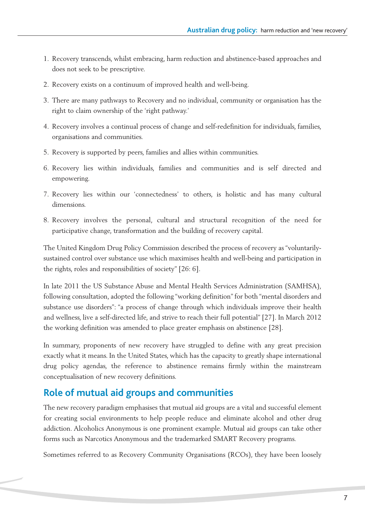- 1. Recovery transcends, whilst embracing, harm reduction and abstinence-based approaches and does not seek to be prescriptive.
- 2. Recovery exists on a continuum of improved health and well-being.
- 3. There are many pathways to Recovery and no individual, community or organisation has the right to claim ownership of the 'right pathway.'
- 4. Recovery involves a continual process of change and self-redefinition for individuals, families, organisations and communities.
- 5. Recovery is supported by peers, families and allies within communities.
- 6. Recovery lies within individuals, families and communities and is self directed and empowering.
- 7. Recovery lies within our 'connectedness' to others, is holistic and has many cultural dimensions.
- 8. Recovery involves the personal, cultural and structural recognition of the need for participative change, transformation and the building of recovery capital.

The United Kingdom Drug Policy Commission described the process of recovery as "voluntarilysustained control over substance use which maximises health and well-being and participation in the rights, roles and responsibilities of society" [26: 6].

In late 2011 the US Substance Abuse and Mental Health Services Administration (SAMHSA), following consultation, adopted the following "working definition" for both "mental disorders and substance use disorders": "a process of change through which individuals improve their health and wellness, live a self-directed life, and strive to reach their full potential" [27]. In March 2012 the working definition was amended to place greater emphasis on abstinence [28].

In summary, proponents of new recovery have struggled to define with any great precision exactly what it means. In the United States, which has the capacity to greatly shape international drug policy agendas, the reference to abstinence remains firmly within the mainstream conceptualisation of new recovery definitions.

# **Role of mutual aid groups and communities**

The new recovery paradigm emphasises that mutual aid groups are a vital and successful element for creating social environments to help people reduce and eliminate alcohol and other drug addiction. Alcoholics Anonymous is one prominent example. Mutual aid groups can take other forms such as Narcotics Anonymous and the trademarked SMART Recovery programs.

Sometimes referred to as Recovery Community Organisations (RCOs), they have been loosely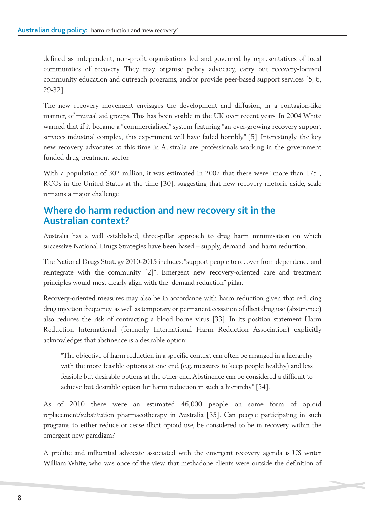defined as independent, non-profit organisations led and governed by representatives of local communities of recovery. They may organise policy advocacy, carry out recovery-focused community education and outreach programs, and/or provide peer-based support services [5, 6, 29-32].

The new recovery movement envisages the development and diffusion, in a contagion-like manner, of mutual aid groups. This has been visible in the UK over recent years. In 2004 White warned that if it became a "commercialised" system featuring "an ever-growing recovery support services industrial complex, this experiment will have failed horribly" [5]. Interestingly, the key new recovery advocates at this time in Australia are professionals working in the government funded drug treatment sector.

With a population of 302 million, it was estimated in 2007 that there were "more than 175", RCOs in the United States at the time [30], suggesting that new recovery rhetoric aside, scale remains a major challenge

#### **Where do harm reduction and new recovery sit in the Australian context?**

Australia has a well established, three-pillar approach to drug harm minimisation on which successive National Drugs Strategies have been based – supply, demand and harm reduction.

The National Drugs Strategy 2010-2015 includes:"support people to recover from dependence and reintegrate with the community [2]". Emergent new recovery-oriented care and treatment principles would most clearly align with the "demand reduction" pillar.

Recovery-oriented measures may also be in accordance with harm reduction given that reducing drug injection frequency, as well as temporary or permanent cessation of illicit drug use (abstinence) also reduces the risk of contracting a blood borne virus [33]. In its position statement Harm Reduction International (formerly International Harm Reduction Association) explicitly acknowledges that abstinence is a desirable option:

"The objective of harm reduction in a specific context can often be arranged in a hierarchy with the more feasible options at one end (e.g. measures to keep people healthy) and less feasible but desirable options at the other end.Abstinence can be considered a difficult to achieve but desirable option for harm reduction in such a hierarchy" [34].

As of 2010 there were an estimated 46,000 people on some form of opioid replacement/substitution pharmacotherapy in Australia [35]. Can people participating in such programs to either reduce or cease illicit opioid use, be considered to be in recovery within the emergent new paradigm?

A prolific and influential advocate associated with the emergent recovery agenda is US writer William White, who was once of the view that methadone clients were outside the definition of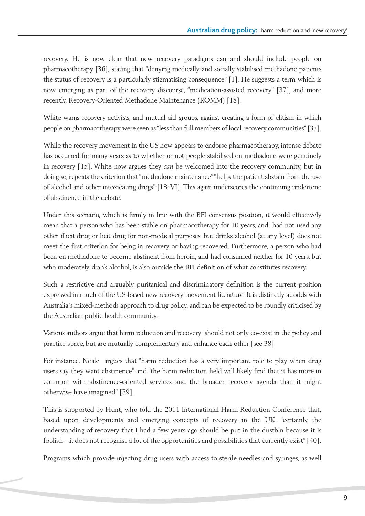recovery. He is now clear that new recovery paradigms can and should include people on pharmacotherapy [36], stating that "denying medically and socially stabilised methadone patients the status of recovery is a particularly stigmatising consequence" [1]. He suggests a term which is now emerging as part of the recovery discourse, "medication-assisted recovery" [37], and more recently, Recovery-Oriented Methadone Maintenance (ROMM) [18].

White warns recovery activists, and mutual aid groups, against creating a form of elitism in which people on pharmacotherapy were seen as"less than full members of local recovery communities" [37].

While the recovery movement in the US now appears to endorse pharmacotherapy, intense debate has occurred for many years as to whether or not people stabilised on methadone were genuinely in recovery [15]. White now argues they *can* be welcomed into the recovery community, but in doing so, repeats the criterion that "methadone maintenance" "helps the patient abstain from the use of alcohol and other intoxicating drugs" [18: VI]. This again underscores the continuing undertone of abstinence in the debate.

Under this scenario, which is firmly in line with the BFI consensus position, it would effectively mean that a person who has been stable on pharmacotherapy for 10 years, and had not used any other illicit drug or licit drug for non-medical purposes, but drinks alcohol (at any level) does not meet the first criterion for being in recovery or having recovered. Furthermore, a person who had been on methadone to become abstinent from heroin, and had consumed neither for 10 years, but who moderately drank alcohol, is also outside the BFI definition of what constitutes recovery.

Such a restrictive and arguably puritanical and discriminatory definition is the current position expressed in much of the US-based new recovery movement literature. It is distinctly at odds with Australia's mixed-methods approach to drug policy, and can be expected to be roundly criticised by the Australian public health community.

Various authors argue that harm reduction and recovery should not only co-exist in the policy and practice space, but are mutually complementary and enhance each other [see 38].

For instance, Neale argues that "harm reduction has a very important role to play when drug users say they want abstinence" and "the harm reduction field will likely find that it has more in common with abstinence-oriented services and the broader recovery agenda than it might otherwise have imagined" [39].

This is supported by Hunt, who told the 2011 International Harm Reduction Conference that, based upon developments and emerging concepts of recovery in the UK, "certainly the understanding of recovery that I had a few years ago should be put in the dustbin because it is foolish – it does not recognise a lot of the opportunities and possibilities that currently exist" [40].

Programs which provide injecting drug users with access to sterile needles and syringes, as well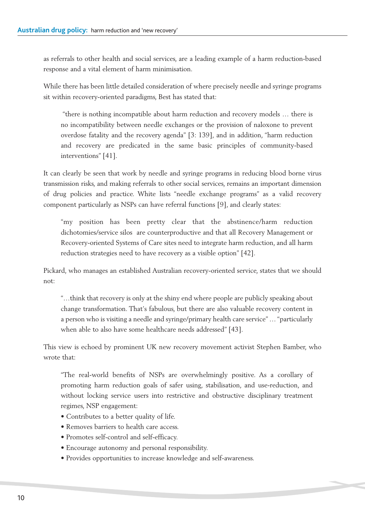as referrals to other health and social services, are a leading example of a harm reduction-based response and a vital element of harm minimisation.

While there has been little detailed consideration of where precisely needle and syringe programs sit within recovery-oriented paradigms, Best has stated that:

"there is nothing incompatible about harm reduction and recovery models … there is no incompatibility between needle exchanges or the provision of naloxone to prevent overdose fatality and the recovery agenda" [3: 139], and in addition, "harm reduction and recovery are predicated in the same basic principles of community-based interventions" [41].

It can clearly be seen that work by needle and syringe programs in reducing blood borne virus transmission risks, and making referrals to other social services, remains an important dimension of drug policies and practice. White lists "needle exchange programs" as a valid recovery component particularly as NSPs can have referral functions [9], and clearly states:

"my position has been pretty clear that the abstinence/harm reduction dichotomies/service silos are counterproductive and that all Recovery Management or Recovery-oriented Systems of Care sites need to integrate harm reduction, and all harm reduction strategies need to have recovery as a visible option" [42].

Pickard, who manages an established Australian recovery-oriented service, states that we should not:

"…think that recovery is only at the shiny end where people are publicly speaking about change transformation. That's fabulous, but there are also valuable recovery content in a person who is visiting a needle and syringe/primary health care service" … "particularly when able to also have some healthcare needs addressed" [43].

This view is echoed by prominent UK new recovery movement activist Stephen Bamber, who wrote that:

"The real-world benefits of NSPs are overwhelmingly positive. As a corollary of promoting harm reduction goals of safer using, stabilisation, and use-reduction, and without locking service users into restrictive and obstructive disciplinary treatment regimes, NSP engagement:

- Contributes to a better quality of life.
- Removes barriers to health care access.
- Promotes self-control and self-efficacy.
- Encourage autonomy and personal responsibility.
- Provides opportunities to increase knowledge and self-awareness.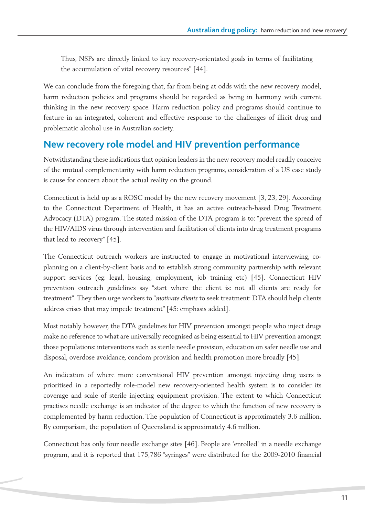Thus, NSPs are directly linked to key recovery-orientated goals in terms of facilitating the accumulation of vital recovery resources" [44].

We can conclude from the foregoing that, far from being at odds with the new recovery model, harm reduction policies and programs should be regarded as being in harmony with current thinking in the new recovery space. Harm reduction policy and programs should continue to feature in an integrated, coherent and effective response to the challenges of illicit drug and problematic alcohol use in Australian society.

#### **New recovery role model and HIV prevention performance**

Notwithstanding these indications that opinion leaders in the new recovery model readily conceive of the mutual complementarity with harm reduction programs, consideration of a US case study is cause for concern about the actual reality on the ground.

Connecticut is held up as a ROSC model by the new recovery movement [3, 23, 29]. According to the Connecticut Department of Health, it has an active outreach-based Drug Treatment Advocacy (DTA) program. The stated mission of the DTA program is to: "prevent the spread of the HIV/AIDS virus through intervention and facilitation of clients into drug treatment programs that lead to recovery" [45].

The Connecticut outreach workers are instructed to engage in motivational interviewing, coplanning on a client-by-client basis and to establish strong community partnership with relevant support services (eg: legal, housing, employment, job training etc) [45]. Connecticut HIV prevention outreach guidelines say "start where the client is: not all clients are ready for treatment".They then urge workers to "*motivate clients* to seek treatment: DTA should help clients address crises that may impede treatment" [45: emphasis added].

Most notably however, the DTA guidelines for HIV prevention amongst people who inject drugs make no reference to what are universally recognised as being essential to HIV prevention amongst those populations: interventions such as sterile needle provision, education on safer needle use and disposal, overdose avoidance, condom provision and health promotion more broadly [45].

An indication of where more conventional HIV prevention amongst injecting drug users is prioritised in a reportedly role-model new recovery-oriented health system is to consider its coverage and scale of sterile injecting equipment provision. The extent to which Connecticut practises needle exchange is an indicator of the degree to which the function of new recovery is complemented by harm reduction. The population of Connecticut is approximately 3.6 million. By comparison, the population of Queensland is approximately 4.6 million.

Connecticut has only four needle exchange sites [46]. People are 'enrolled' in a needle exchange program, and it is reported that 175,786 "syringes" were distributed for the 2009-2010 financial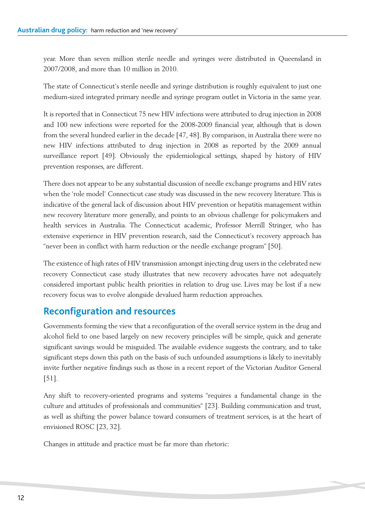year. More than seven million sterile needle and syringes were distributed in Queensland in 2007/2008, and more than 10 million in 2010.

The state of Connecticut's sterile needle and syringe distribution is roughly equivalent to just one medium-sized integrated primary needle and syringe program outlet in Victoria in the same year.

It is reported that in Connecticut 75 new HIV infections were attributed to drug injection in 2008 and 100 new infections were reported for the 2008-2009 financial year, although that is down from the several hundred earlier in the decade [47, 48]. By comparison, in Australia there were no new HIV infections attributed to drug injection in 2008 as reported by the 2009 annual surveillance report [49]. Obviously the epidemiological settings, shaped by history of HIV prevention responses, are different.

There does not appear to be any substantial discussion of needle exchange programs and HIV rates when the 'role model' Connecticut case study was discussed in the new recovery literature.This is indicative of the general lack of discussion about HIV prevention or hepatitis management within new recovery literature more generally, and points to an obvious challenge for policymakers and health services in Australia. The Connecticut academic, Professor Merrill Stringer, who has extensive experience in HIV prevention research, said the Connecticut's recovery approach has "never been in conflict with harm reduction or the needle exchange program" [50].

The existence of high rates of HIV transmission amongst injecting drug users in the celebrated new recovery Connecticut case study illustrates that new recovery advocates have not adequately considered important public health priorities in relation to drug use. Lives may be lost if a new recovery focus was to evolve alongside devalued harm reduction approaches.

# **Reconfiguration and resources**

Governments forming the view that a reconfiguration of the overall service system in the drug and alcohol field to one based largely on new recovery principles will be simple, quick and generate significant savings would be misguided. The available evidence suggests the contrary, and to take significant steps down this path on the basis of such unfounded assumptions is likely to inevitably invite further negative findings such as those in a recent report of the Victorian Auditor General [51].

Any shift to recovery-oriented programs and systems "requires a fundamental change in the culture and attitudes of professionals and communities" [23]. Building communication and trust, as well as shifting the power balance toward consumers of treatment services, is at the heart of envisioned ROSC [23, 32].

Changes in attitude and practice must be far more than rhetoric: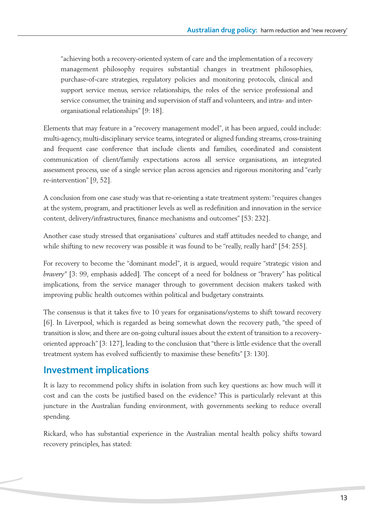"achieving both a recovery-oriented system of care and the implementation of a recovery management philosophy requires substantial changes in treatment philosophies, purchase-of-care strategies, regulatory policies and monitoring protocols, clinical and support service menus, service relationships, the roles of the service professional and service consumer, the training and supervision of staff and volunteers, and intra- and interorganisational relationships" [9: 18].

Elements that may feature in a "recovery management model", it has been argued, could include: multi-agency, multi-disciplinary service teams, integrated or aligned funding streams, cross-training and frequent case conference that include clients and families, coordinated and consistent communication of client/family expectations across all service organisations, an integrated assessment process, use of a single service plan across agencies and rigorous monitoring and "early re-intervention" [9, 52].

A conclusion from one case study was that re-orienting a state treatment system:"requires changes at the system, program, and practitioner levels as well as redefinition and innovation in the service content, delivery/infrastructures, finance mechanisms and outcomes" [53: 232].

Another case study stressed that organisations' cultures and staff attitudes needed to change, and while shifting to new recovery was possible it was found to be "really, really hard" [54: 255].

For recovery to become the "dominant model", it is argued, would require "strategic vision and *bravery"* [3: 99, emphasis added]*.* The concept of a need for boldness or "bravery" has political implications, from the service manager through to government decision makers tasked with improving public health outcomes within political and budgetary constraints.

The consensus is that it takes five to 10 years for organisations/systems to shift toward recovery [6]. In Liverpool, which is regarded as being somewhat down the recovery path, "the speed of transition is slow, and there are on-going cultural issues about the extent of transition to a recoveryoriented approach" [3: 127], leading to the conclusion that "there is little evidence that the overall treatment system has evolved sufficiently to maximise these benefits" [3: 130].

# **Investment implications**

It is lazy to recommend policy shifts in isolation from such key questions as: how much will it cost and can the costs be justified based on the evidence? This is particularly relevant at this juncture in the Australian funding environment, with governments seeking to reduce overall spending.

Rickard, who has substantial experience in the Australian mental health policy shifts toward recovery principles, has stated: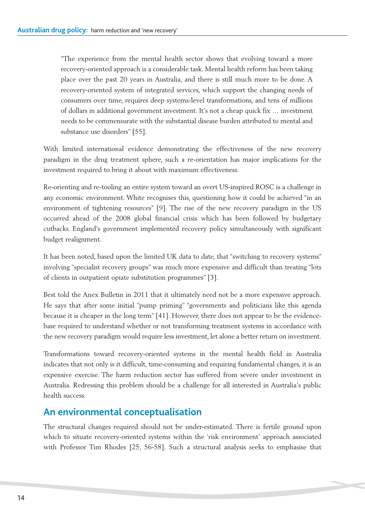"The experience from the mental health sector shows that evolving toward a more recovery-oriented approach is a considerable task. Mental health reform has been taking place over the past 20 years in Australia, and there is still much more to be done. A recovery-oriented system of integrated services, which support the changing needs of consumers over time, requires deep systems-level transformations, and tens of millions of dollars in additional government investment. It's not a cheap quick fix … investment needs to be commensurate with the substantial disease burden attributed to mental and substance use disorders" [55].

With limited international evidence demonstrating the effectiveness of the new recovery paradigm in the drug treatment sphere, such a re-orientation has major implications for the investment required to bring it about with maximum effectiveness.

Re-orienting and re-tooling an entire system toward an overt US-inspired ROSC is a challenge in any economic environment. White recognises this, questioning how it could be achieved "in an environment of tightening resources" [9]. The rise of the new recovery paradigm in the US occurred ahead of the 2008 global financial crisis which has been followed by budgetary cutbacks. England's government implemented recovery policy simultaneously with significant budget realignment.

It has been noted, based upon the limited UK data to date, that "switching to recovery systems" involving "specialist recovery groups" was much more expensive and difficult than treating "lots of clients in outpatient opiate substitution programmes" [3].

Best told the Anex Bulletin in 2011 that it ultimately need not be a more expensive approach. He says that after some initial "pump priming" "governments and politicians like this agenda because it is cheaper in the long term" [41]. However, there does not appear to be the evidencebase required to understand whether or not transforming treatment systems in accordance with the new recovery paradigm would require less investment, let alone a better return on investment.

Transformations toward recovery-oriented systems in the mental health field in Australia indicates that not only is it difficult, time-consuming and requiring fundamental changes, it is an expensive exercise. The harm reduction sector has suffered from severe under investment in Australia. Redressing this problem should be a challenge for all interested in Australia's public health success.

### **An environmental conceptualisation**

The structural changes required should not be under-estimated. There is fertile ground upon which to situate recovery-oriented systems within the 'risk environment' approach associated with Professor Tim Rhodes [25, 56-58]. Such a structural analysis seeks to emphasise that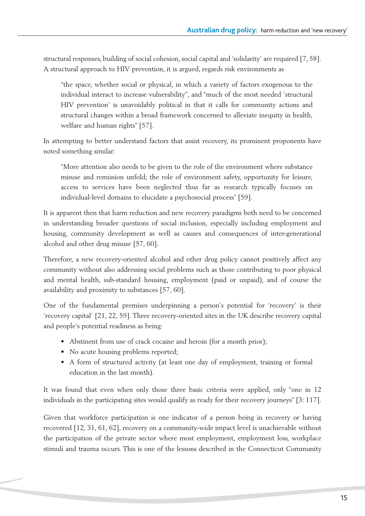structural responses, building of social cohesion, social capital and 'solidarity' are required [7, 58]. A structural approach to HIV prevention, it is argued, regards risk environments as

"the space, whether social or physical, in which a variety of factors exogenous to the individual interact to increase vulnerability", and "much of the most needed 'structural HIV prevention' is unavoidably political in that it calls for community actions and structural changes within a broad framework concerned to alleviate inequity in health, welfare and human rights" [57].

In attempting to better understand factors that assist recovery, its prominent proponents have noted something similar:

"More attention also needs to be given to the role of the environment where substance misuse and remission unfold; the role of environment safety, opportunity for leisure, access to services have been neglected thus far as research typically focuses on individual-level domains to elucidate a psychosocial process" [59].

It is apparent then that harm reduction and new recovery paradigms both need to be concerned in understanding broader questions of social inclusion, especially including employment and housing, community development as well as causes and consequences of inter-generational alcohol and other drug misuse [57, 60].

Therefore, a new recovery-oriented alcohol and other drug policy cannot positively affect any community without also addressing social problems such as those contributing to poor physical and mental health, sub-standard housing, employment (paid or unpaid), and of course the availability and proximity to substances [57, 60].

One of the fundamental premises underpinning a person's potential for 'recovery' is their 'recovery capital' [21, 22, 59]. Three recovery-oriented sites in the UK describe recovery capital and people's potential readiness as being:

- Abstinent from use of crack cocaine and heroin (for a month prior);
- No acute housing problems reported;
- A form of structured activity (at least one day of employment, training or formal education in the last month).

It was found that even when only those three basic criteria were applied, only "one in 12 individuals in the participating sites would qualify as ready for their recovery journeys" [3: 117].

Given that workforce participation is one indicator of a person being in recovery or having recovered [12, 31, 61, 62], recovery on a community-wide impact level is unachievable without the participation of the private sector where most employment, employment loss, workplace stimuli and trauma occurs. This is one of the lessons described in the Connecticut Community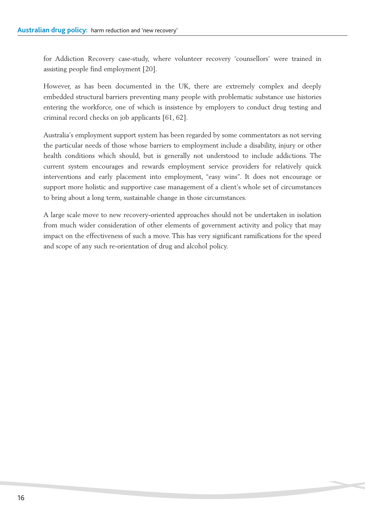for Addiction Recovery case-study, where volunteer recovery 'counsellors' were trained in assisting people find employment [20].

However, as has been documented in the UK, there are extremely complex and deeply embedded structural barriers preventing many people with problematic substance use histories entering the workforce, one of which is insistence by employers to conduct drug testing and criminal record checks on job applicants [61, 62].

Australia's employment support system has been regarded by some commentators as not serving the particular needs of those whose barriers to employment include a disability, injury or other health conditions which should, but is generally not understood to include addictions. The current system encourages and rewards employment service providers for relatively quick interventions and early placement into employment, "easy wins". It does not encourage or support more holistic and supportive case management of a client's whole set of circumstances to bring about a long term, sustainable change in those circumstances.

A large scale move to new recovery-oriented approaches should not be undertaken in isolation from much wider consideration of other elements of government activity and policy that may impact on the effectiveness of such a move. This has very significant ramifications for the speed and scope of any such re-orientation of drug and alcohol policy.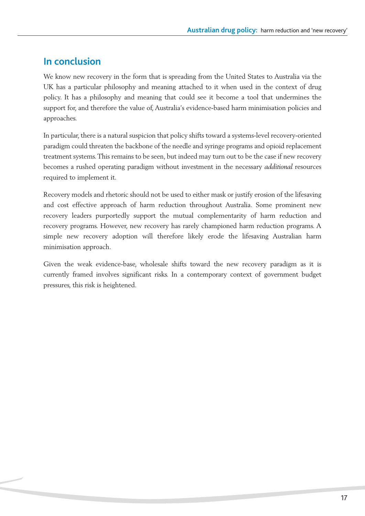# **In conclusion**

We know new recovery in the form that is spreading from the United States to Australia via the UK has a particular philosophy and meaning attached to it when used in the context of drug policy. It has a philosophy and meaning that could see it become a tool that undermines the support for, and therefore the value of, Australia's evidence-based harm minimisation policies and approaches.

In particular, there is a natural suspicion that policy shifts toward a systems-level recovery-oriented paradigm could threaten the backbone of the needle and syringe programs and opioid replacement treatment systems.This remains to be seen, but indeed may turn out to be the case if new recovery becomes a rushed operating paradigm without investment in the necessary *additional* resources required to implement it.

Recovery models and rhetoric should not be used to either mask or justify erosion of the lifesaving and cost effective approach of harm reduction throughout Australia. Some prominent new recovery leaders purportedly support the mutual complementarity of harm reduction and recovery programs. However, new recovery has rarely championed harm reduction programs. A simple new recovery adoption will therefore likely erode the lifesaving Australian harm minimisation approach.

Given the weak evidence-base, wholesale shifts toward the new recovery paradigm as it is currently framed involves significant risks. In a contemporary context of government budget pressures, this risk is heightened.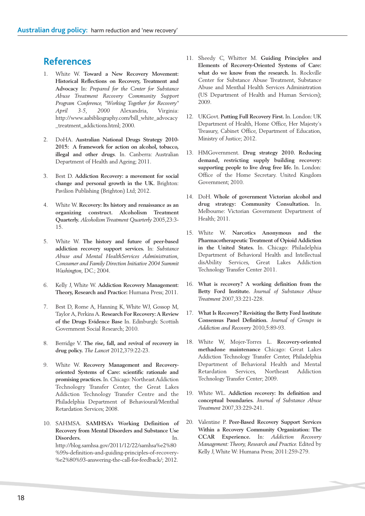#### **References**

- 1. White W. **Toward a New Recovery Movement: Historical Reflections on Recovery, Treatment and Advocacy** In: *Prepared for the Center for Substance Abuse Treatment Recovery Community Support Program Conference, "Working Together for Recovery" April 3-5, 2000* Alexandria, Virginia: http://www.aabibliography.com/bill\_white\_advocacy \_treatment\_addictions.html; 2000.
- 2. DoHA. **Australian National Drugs Strategy 2010- 2015: A framework for action on alcohol, tobacco, illegal and other drugs**. In. Canberra: Australian Department of Health and Ageing; 2011.
- 3. Best D. **Addiction Recovery: a movement for social change and personal growth in the UK.** Brighton: Pavilion Publishing (Brighton) Ltd; 2012.
- 4. White W. **Recovery: Its history and renaissance as an organizing construct. Alcoholism Treatment Quarterly.** *Alcoholism Treatment Quarterly* 2005,23:3- 15.
- 5. White W. **The history and future of peer-based addiction recovery support services.** In: *Substance Abuse and Mental HealthServices Administration, Consumer and Family Direction Initiative 2004 Summit Washington,* DC.; 2004.
- 6. Kelly J, White W. **Addiction Recovery Management: Theory, Research and Practice:** Humana Press; 2011.
- 7. Best D, Rome A, Hanning K, White WJ, Gossop M, Taylor A, Perkins A. **Research For Recovery: A Review of the Drugs Evidence Base** In. Edinburgh: Scottish Government Social Research; 2010.
- 8. Berridge V. **The rise, fall, and revival of recovery in drug policy.** *The Lancet* 2012,379:22-23.
- 9. White W. **Recovery Management and Recoveryoriented Systems of Care: scientific rationale and promising practices.** In. Chicago: Northeast Addiction Technologry Transfer Center, the Great Lakes Addiction Technology Transfer Centre and the Philadelphia Department of Behavioural/Menthal Retardation Services; 2008.
- 10. SAHMSA. **SAMHSA's Working Definition of Recovery from Mental Disorders and Substance Use Disorders.** In. http://blog.samhsa.gov/2011/12/22/samhsa%e2%80 %99s-definition-and-guiding-principles-of-recovery- %e2%80%93-answering-the-call-for-feedback/; 2012.
- 11. Sheedy C, Whitter M. **Guiding Principles and Elements of Recovery-Oriented Systems of Care: what do we know from the research.** In. Rockville Center for Substance Abuse Treatment, Substance Abuse and Menthal Health Services Administration (US Department of Health and Human Services); 2009.
- 12. UKGovt. **Putting Full Recovery First.** In. London: UK Department of Health, Home Office, Her Majesty's Treasury, Cabinet Office, Department of Education, Ministry of Justice; 2012.
- 13. HMGovernment. **Drug strategy 2010. Reducing demand, restricting supply building recovery: supporting people to live drug free life.** In. London: Office of the Home Secretary. United Kingdom Government; 2010.
- 14. DoH. **Whole of government Victorian alcohol and drug strategy: Community Consultation.** In. Melbourne: Victorian Government Department of Health; 2011.
- 15. White W. **Narcotics Anonymous and the Pharmacotherapeutic Treatment of Opioid Addiction in the United States.** In. Chicago: Philadelphia Department of Behavioral Health and Intellectual disAbility Services, Great Lakes Addiction Technology Transfer Center 2011.
- 16. **What is recovery? A working definition from the Betty Ford Institute.** *Journal of Substance Abuse Treatment* 2007,33:221-228.
- 17. **What Is Recovery? Revisiting the Betty Ford Institute Consensus Panel Definition.** *Journal of Groups in Addiction and Recovery* 2010,5:89-93.
- 18. White W, Mojer-Torres L. **Recovery-oriented methadone maintenance** Chicago: Great Lakes Addiction Technology Transfer Center, Philadelphia Department of Behavioral Health and Mental Retardation Services, Northeast Addiction Technology Transfer Center; 2009.
- 19. White WL. **Addiction recovery: Its definition and conceptual boundaries.** *Journal of Substance Abuse Treatment* 2007,33:229-241.
- 20. Valentine P. **Peer-Based Recovery Support Services Within a Recovery Community Organization: The CCAR Experience.** In: *Addiction Recovery Management: Theory, Research and Practice.* Edited by Kelly J,White W: Humana Press; 2011:259-279.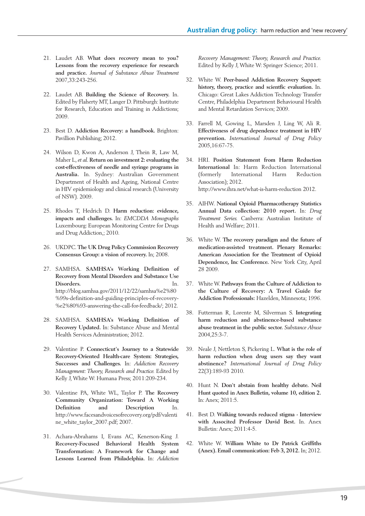- 21. Laudet AB. **What does recovery mean to you? Lessons from the recovery experience for research and practice.** *Journal of Substance Abuse Treatment* 2007,33:243-256.
- 22. Laudet AB. **Building the Science of Recovery.** In. Edited by Flaherty MT, Langer D. Pittsburgh: Institute for Research, Education and Training in Addictions; 2009.
- 23. Best D. **Addiction Recovery: a handbook.** Brighton: Pavillion Publishing; 2012.
- 24. Wilson D, Kwon A, Anderson J, Thein R, Law M, Maher L, *et al.* **Return on investment 2: evaluating the cost-effectiveness of needle and syringe programs in Australia.** In. Sydney: Australian Government Department of Health and Ageing, National Centre in HIV epidemiology and clinical research (University of NSW). 2009.
- 25. Rhodes T, Hedrich D. **Harm reduction: evidence, impacts and challenges.** In: *EMCDDA Monographs* Luxembourg: European Monitoring Centre for Drugs and Drug Addiction,; 2010.
- 26. UKDPC. **The UK Drug Policy Commission Recovery Consensus Group: a vision of recovery.** In; 2008.
- 27. SAMHSA. **SAMHSA's Working Definition of Recovery from Mental Disorders and Substance Use Disorders.** In. http://blog.samhsa.gov/2011/12/22/samhsa%e2%80 %99s-definition-and-guiding-principles-of-recovery- %e2%80%93-answering-the-call-for-feedback/; 2012.
- 28. SAMHSA. **SAMHSA's Working Definition of Recovery Updated.** In: Substance Abuse and Mental Health Services Administration; 2012.
- 29. Valentine P. **Connecticut's Journey to a Statewide Recovery-Oriented Health-care System: Strategies, Successes and Challenges.** In: *Addiction Recovery Management: Theory, Research and Practice.* Edited by Kelly J, White W: Humana Press; 2011:209-234.
- 30. Valentine PA, White WL, Taylor P. **The Recovery Community Organization: Toward A Working Definition and Description** In. http://www.facesandvoicesofrecovery.org/pdf/valenti ne\_white\_taylor\_2007.pdf; 2007.
- 31. Achara-Abrahams I, Evans AC, Kenerson-King J. **Recovery-Focused Behavioral Health System Transformation: A Framework for Change and Lessons Learned from Philadelphia.** In: *Addiction*

*Recovery Management: Theory, Research and Practice.* Edited by Kelly J,White W: Springer Science; 2011.

- 32. White W. **Peer-based Addiction Recovery Support: history, theory, practice and scientfic evaluation.** In. Chicago: Great Lakes Addiction Technology Transfer Centre, Philadelphia Department Behavioural Health and Mental Retardation Services; 2009.
- 33. Farrell M, Gowing L, Marsden J, Ling W, Ali R. **Effectiveness of drug dependence treatment in HIV prevention.** *International Journal of Drug Policy* 2005,16:67-75.
- 34. HRI. **Position Statement from Harm Reduction International** In: Harm Reduction International (formerly International Harm Reduction Association); 2012. http://www.ihra.net/what-is-harm-reduction 2012.
- 35. AIHW. **National Opioid Pharmacotherapy Statistics Annual Data collection: 2010 report.** In: *Drug Treatment Series.* Canberra: Australian Institute of Health and Welfare; 2011.
- 36. White W. **The recovery paradigm and the future of medication-assisted treatment. Plenary Remarks: American Association for the Treatment of Opioid Dependence, Inc Conference.** New York City, April 28 2009.
- 37. White W. **Pathways from the Culture of Addiction to the Culture of Recovery: A Travel Guide for Addiction Professionals:** Hazelden, Minnesota; 1996.
- 38. Futterman R, Lorente M, Silverman S. **Integrating harm reduction and abstinence-based substance abuse treatment in the public sector.** *Substance Abuse* 2004,25:3-7.
- 39. Neale J, Nettleton S, Pickering L. **What is the role of harm reduction when drug users say they want abstinence?** *International Journal of Drug Policy* 22(3):189-93 2010.
- 40. Hunt N. **Don't abstain from healthy debate. Neil Hunt quoted in Anex Bulletin, volume 10, edition 2.** In: Anex; 2011:5.
- 41. Best D. **Walking towards reduced stigma - Interview with Associted Professor David Best.** In. Anex Bulletin: Anex; 2011:4-5.
- 42. White W. **William White to Dr Patrick Griffiths (Anex). Email communication: Feb 3, 2012.** In; 2012.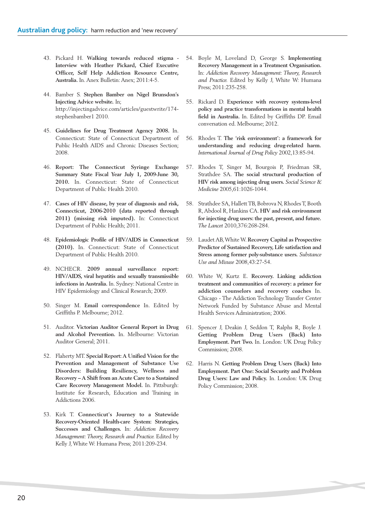- 43. Pickard H. **Walking towards reduced stigma - Interview with Heather Pickard, Chief Executive Officer, Self Help Addiction Resource Centre, Australia.** In. Anex Bulletin: Anex; 2011:4-5.
- 44. Bamber S. **Stephen Bamber on Nigel Brunsdon's Injecting Advice website.** In; http://injectingadvice.com/articles/guestwrite/174 stephenbamber1 2010.
- 45. **Guidelines for Drug Treatment Agency 2008.** In. Connecticut: State of Connecticut Department of Public Health AIDS and Chronic Diseases Section; 2008.
- 46. **Report: The Connecticut Syringe Exchange Summary State Fiscal Year July 1, 2009-June 30, 2010.** In. Connecticut: State of Connecticut Department of Public Health 2010.
- 47. **Cases of HIV disease, by year of diagnosis and risk, Connecticut, 2006-2010 (data reported through 2011) (missing risk imputed).** In: Connecticut Department of Public Health; 2011.
- 48. **Epidemiologic Profile of HIV/AIDS in Connecticut (2010).** In. Connecticut: State of Connecticut Department of Public Health 2010.
- 49. NCHECR. **2009 annual surveillance report: HIV/AIDS, viral hepatitis and sexually transmissible infections in Australia.** In. Sydney: National Centre in HIV Epidemiology and Clinical Research; 2009.
- 50. Singer M. **Email correspondence** In. Edited by Griffiths P. Melbourne; 2012.
- 51. Auditor. **Victorian Auditor General Report in Drug and Alcohol Prevention.** In. Melbourne: Victorian Auditor General; 2011.
- 52. Flaherty MT. **Special Report: A Unified Vision for the Prevention and Management of Substance Use Disorders: Building Resiliency, Wellness and Recovery – A Shift from an Acute Care to a Sustained Care Recovery Management Model.** In. Pittsburgh: Institute for Research, Education and Training in Addictions 2006.
- 53. Kirk T. **Connecticut's Journey to a Statewide Recovery-Oriented Health-care System: Strategies, Successes and Challenges.** In: *Addiction Recovery Management: Theory, Research and Practice.* Edited by Kelly J,White W: Humana Press; 2011:209-234.
- 54. Boyle M, Loveland D, George S. **Implementing Recovery Management in a Treatment Organisation.** In: *Addiction Recovery Management: Theory, Research and Practice.* Edited by Kelly J, White W: Humana Press; 2011:235-258.
- 55. Rickard D. **Experience with recovery systems-level policy and practice transformations in mental health field in Australia.** In. Edited by Griffiths DP. Email conversation ed. Melbourne; 2012.
- 56. Rhodes T. **The 'risk environment': a framework for understanding and reducing drug-related harm.** *International Journal of Drug Policy* 2002,13:85-94.
- 57. Rhodes T, Singer M, Bourgois P, Friedman SR, Strathdee SA. **The social structural production of HIV risk among injecting drug users.** *Social Science & Medicine* 2005,61:1026-1044.
- 58. Strathdee SA, Hallett TB, Bobrova N, Rhodes T, Booth R,Abdool R, Hankins CA. **HIV and risk environment for injecting drug users: the past, present, and future.** *The Lancet* 2010,376:268-284.
- 59. Laudet AB,WhiteW. **Recovery Capital as Prospective Predictor of Sustained Recovery, Life satisfaction and Stress among former poly-substance users.** *Substance Use and Misuse* 2008,43:27-54.
- 60. White W, Kurtz E. **Recovery. Linking addiction treatment and communities of recovery: a primer for addiction counselors and recovery coaches** In. Chicago - The Addiction Technology Transfer Center Network Funded by Substance Abuse and Mental Health Services Administration; 2006.
- 61. Spencer J, Deakin J, Seddon T, Ralphs R, Boyle J. **Getting Problem Drug Users (Back) Into Employment. Part Two.** In. London: UK Drug Policy Commission; 2008.
- 62. Harris N. **Getting Problem Drug Users (Back) Into Employment. Part One: Social Security and Problem Drug Users: Law and Policy.** In. London: UK Drug Policy Commission; 2008.